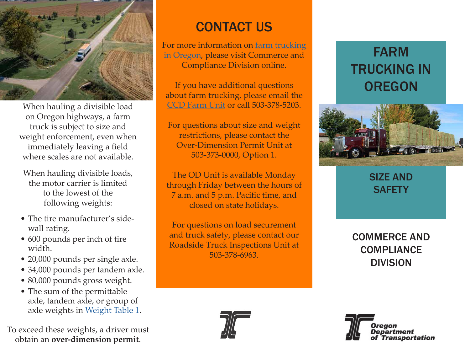

When hauling a divisible load on Oregon highways, a farm truck is subject to size and weight enforcement, even when immediately leaving a field where scales are not available.

When hauling divisible loads, the motor carrier is limited to the lowest of the following weights:

- The tire manufacturer's sidewall rating.
- 600 pounds per inch of tire width.
- 20,000 pounds per single axle.
- 34,000 pounds per tandem axle.
- 80,000 pounds gross weight.
- The sum of the permittable axle, tandem axle, or group of axle weights in [Weight Table 1.](https://www.oregon.gov/odot/Forms/Motcarr/8110.pdf)

To exceed these weights, a driver must obtain an **over-dimension permit**.

## CONTACT US

For more information on [farm trucking](https://www.oregon.gov/odot/MCT/Pages/FarmTrucking.aspx)  [in Oregon,](https://www.oregon.gov/odot/MCT/Pages/FarmTrucking.aspx) please visit Commerce and Compliance Division online.

If you have additional questions about farm trucking, please email the [CCD Farm Unit](mailto:Farm%40odot.state.or.us?subject=) or call 503-378-5203.

For questions about size and weight restrictions, please contact the Over-Dimension Permit Unit at 503-373-0000, Option 1.

The OD Unit is available Monday through Friday between the hours of 7 a.m. and 5 p.m. Pacific time, and closed on state holidays.

For questions on load securement and truck safety, please contact our Roadside Truck Inspections Unit at 503-378-6963.





SIZE AND **SAFETY** 

COMMERCE AND **COMPLIANCE** DIVISION